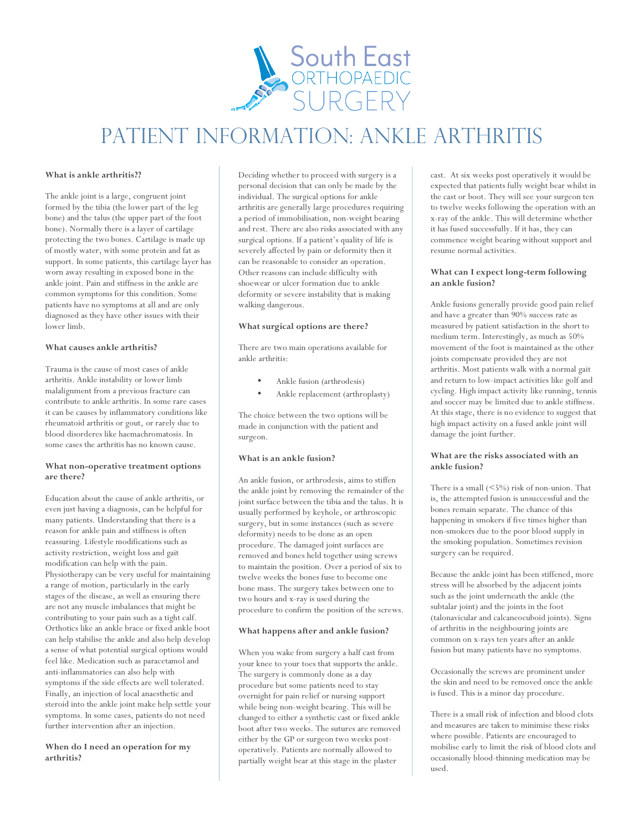

# Patient information: ankle ARTHRITIS

# **What is ankle arthritis??**

The ankle joint is a large, congruent joint formed by the tibia (the lower part of the leg bone) and the talus (the upper part of the foot bone). Normally there is a layer of cartilage protecting the two bones. Cartilage is made up of mostly water, with some protein and fat as support. In some patients, this cartilage layer has worn away resulting in exposed bone in the ankle joint. Pain and stiffness in the ankle are common symptoms for this condition. Some patients have no symptoms at all and are only diagnosed as they have other issues with their lower limb.

# **What causes ankle arthritis?**

Trauma is the cause of most cases of ankle arthritis. Ankle instability or lower limb malalignment from a previous fracture can contribute to ankle arthritis. In some rare cases it can be causes by inflammatory conditions like rheumatoid arthritis or gout, or rarely due to blood disorderes like haemachromatosis. In some cases the arthritis has no known cause.

# **What non-operative treatment options are there?**

Education about the cause of ankle arthritis, or even just having a diagnosis, can be helpful for many patients. Understanding that there is a reason for ankle pain and stiffness is often reassuring. Lifestyle modifications such as activity restriction, weight loss and gait modification can help with the pain. Physiotherapy can be very useful for maintaining a range of motion, particularly in the early stages of the disease, as well as ensuring there are not any muscle imbalances that might be contributing to your pain such as a tight calf. Orthotics like an ankle brace or fixed ankle boot can help stabilise the ankle and also help develop a sense of what potential surgical options would feel like. Medication such as paracetamol and anti-inflammatories can also help with symptoms if the side effects are well tolerated. Finally, an injection of local anaesthetic and steroid into the ankle joint make help settle your symptoms. In some cases, patients do not need further intervention after an injection.

# **When do I need an operation for my arthritis?**

Deciding whether to proceed with surgery is a personal decision that can only be made by the individual. The surgical options for ankle arthritis are generally large procedures requiring a period of immobilisation, non-weight bearing and rest. There are also risks associated with any surgical options. If a patient's quality of life is severely affected by pain or deformity then it can be reasonable to consider an operation. Other reasons can include difficulty with shoewear or ulcer formation due to ankle deformity or severe instability that is making walking dangerous.

# **What surgical options are there?**

There are two main operations available for ankle arthritis:

- Ankle fusion (arthrodesis)
- Ankle replacement (arthroplasty)

The choice between the two options will be made in conjunction with the patient and surgeon.

# **What is an ankle fusion?**

An ankle fusion, or arthrodesis, aims to stiffen the ankle joint by removing the remainder of the joint surface between the tibia and the talus. It is usually performed by keyhole, or arthroscopic surgery, but in some instances (such as severe deformity) needs to be done as an open procedure. The damaged joint surfaces are removed and bones held together using screws to maintain the position. Over a period of six to twelve weeks the bones fuse to become one bone mass. The surgery takes between one to two hours and x-ray is used during the procedure to confirm the position of the screws.

# **What happens after and ankle fusion?**

When you wake from surgery a half cast from your knee to your toes that supports the ankle. The surgery is commonly done as a day procedure but some patients need to stay overnight for pain relief or nursing support while being non-weight bearing. This will be changed to either a synthetic cast or fixed ankle boot after two weeks. The sutures are removed either by the GP or surgeon two weeks postoperatively. Patients are normally allowed to partially weight bear at this stage in the plaster

cast. At six weeks post operatively it would be expected that patients fully weight bear whilst in the cast or boot. They will see your surgeon ten to twelve weeks following the operation with an x-ray of the ankle. This will determine whether it has fused successfully. If it has, they can commence weight bearing without support and resume normal activities.

# **What can I expect long-term following an ankle fusion?**

Ankle fusions generally provide good pain relief and have a greater than 90% success rate as measured by patient satisfaction in the short to medium term. Interestingly, as much as 50% movement of the foot is maintained as the other joints compensate provided they are not arthritis. Most patients walk with a normal gait and return to low-impact activities like golf and cycling. High impact activity like running, tennis and soccer may be limited due to ankle stiffness. At this stage, there is no evidence to suggest that high impact activity on a fused ankle joint will damage the joint further.

# **What are the risks associated with an ankle fusion?**

There is a small (<5%) risk of non-union. That is, the attempted fusion is unsuccessful and the bones remain separate. The chance of this happening in smokers if five times higher than non-smokers due to the poor blood supply in the smoking population. Sometimes revision surgery can be required.

Because the ankle joint has been stiffened, more stress will be absorbed by the adjacent joints such as the joint underneath the ankle (the subtalar joint) and the joints in the foot (talonavicular and calcaneocuboid joints). Signs of arthritis in the neighbouring joints are common on x-rays ten years after an ankle fusion but many patients have no symptoms.

Occasionally the screws are prominent under the skin and need to be removed once the ankle is fused. This is a minor day procedure.

There is a small risk of infection and blood clots and measures are taken to minimise these risks where possible. Patients are encouraged to mobilise early to limit the risk of blood clots and occasionally blood-thinning medication may be used.